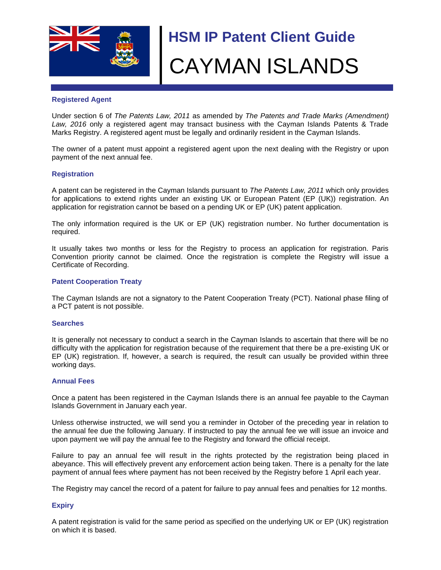

# **HSM IP Patent Client Guide** CAYMAN ISLANDS

## **Registered Agent**

Under section 6 of *The Patents Law, 2011* as amended by *The Patents and Trade Marks (Amendment) Law, 2016* only a registered agent may transact business with the Cayman Islands Patents & Trade Marks Registry. A registered agent must be legally and ordinarily resident in the Cayman Islands.

The owner of a patent must appoint a registered agent upon the next dealing with the Registry or upon payment of the next annual fee.

## **Registration**

A patent can be registered in the Cayman Islands pursuant to *The Patents Law, 2011* which only provides for applications to extend rights under an existing UK or European Patent (EP (UK)) registration. An application for registration cannot be based on a pending UK or EP (UK) patent application.

The only information required is the UK or EP (UK) registration number. No further documentation is required.

It usually takes two months or less for the Registry to process an application for registration. Paris Convention priority cannot be claimed. Once the registration is complete the Registry will issue a Certificate of Recording.

## **Patent Cooperation Treaty**

The Cayman Islands are not a signatory to the Patent Cooperation Treaty (PCT). National phase filing of a PCT patent is not possible.

## **Searches**

It is generally not necessary to conduct a search in the Cayman Islands to ascertain that there will be no difficulty with the application for registration because of the requirement that there be a pre-existing UK or EP (UK) registration. If, however, a search is required, the result can usually be provided within three working days.

#### **Annual Fees**

Once a patent has been registered in the Cayman Islands there is an annual fee payable to the Cayman Islands Government in January each year.

Unless otherwise instructed, we will send you a reminder in October of the preceding year in relation to the annual fee due the following January. If instructed to pay the annual fee we will issue an invoice and upon payment we will pay the annual fee to the Registry and forward the official receipt.

Failure to pay an annual fee will result in the rights protected by the registration being placed in abeyance. This will effectively prevent any enforcement action being taken. There is a penalty for the late payment of annual fees where payment has not been received by the Registry before 1 April each year.

The Registry may cancel the record of a patent for failure to pay annual fees and penalties for 12 months.

## **Expiry**

A patent registration is valid for the same period as specified on the underlying UK or EP (UK) registration on which it is based.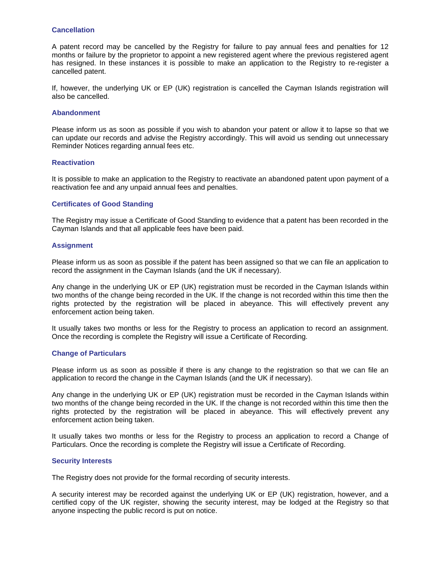### **Cancellation**

A patent record may be cancelled by the Registry for failure to pay annual fees and penalties for 12 months or failure by the proprietor to appoint a new registered agent where the previous registered agent has resigned. In these instances it is possible to make an application to the Registry to re-register a cancelled patent.

If, however, the underlying UK or EP (UK) registration is cancelled the Cayman Islands registration will also be cancelled.

#### **Abandonment**

Please inform us as soon as possible if you wish to abandon your patent or allow it to lapse so that we can update our records and advise the Registry accordingly. This will avoid us sending out unnecessary Reminder Notices regarding annual fees etc.

#### **Reactivation**

It is possible to make an application to the Registry to reactivate an abandoned patent upon payment of a reactivation fee and any unpaid annual fees and penalties.

## **Certificates of Good Standing**

The Registry may issue a Certificate of Good Standing to evidence that a patent has been recorded in the Cayman Islands and that all applicable fees have been paid.

#### **Assignment**

Please inform us as soon as possible if the patent has been assigned so that we can file an application to record the assignment in the Cayman Islands (and the UK if necessary).

Any change in the underlying UK or EP (UK) registration must be recorded in the Cayman Islands within two months of the change being recorded in the UK. If the change is not recorded within this time then the rights protected by the registration will be placed in abeyance. This will effectively prevent any enforcement action being taken.

It usually takes two months or less for the Registry to process an application to record an assignment. Once the recording is complete the Registry will issue a Certificate of Recording.

## **Change of Particulars**

Please inform us as soon as possible if there is any change to the registration so that we can file an application to record the change in the Cayman Islands (and the UK if necessary).

Any change in the underlying UK or EP (UK) registration must be recorded in the Cayman Islands within two months of the change being recorded in the UK. If the change is not recorded within this time then the rights protected by the registration will be placed in abeyance. This will effectively prevent any enforcement action being taken.

It usually takes two months or less for the Registry to process an application to record a Change of Particulars. Once the recording is complete the Registry will issue a Certificate of Recording.

#### **Security Interests**

The Registry does not provide for the formal recording of security interests.

A security interest may be recorded against the underlying UK or EP (UK) registration, however, and a certified copy of the UK register, showing the security interest, may be lodged at the Registry so that anyone inspecting the public record is put on notice.